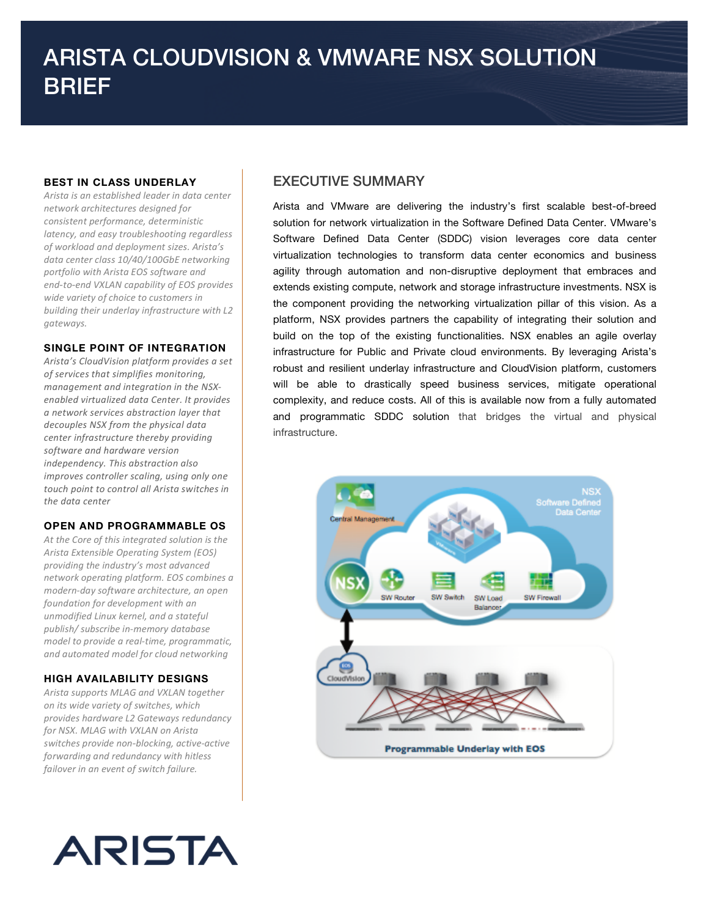### **BEST IN CLASS UNDERLAY**

*Arista'is'an'established'leader'in'data'center' network'architectures'designed'for' consistent'performance,'deterministic' latency,'and'easy'troubleshooting'regardless' of'workload'and'deployment'sizes.'Arista's'* data center class 10/40/100GbE networking *portfolio'with'Arista'EOS'software'and' end‑to‑end'VXLAN'capability'of'EOS'provides' wide'variety'of'choice'to'customers'in'* building their underlay infrastructure with L2 *gateways.''*

#### **SINGLE POINT OF INTEGRATION**

*Arista's'CloudVision platform'provides'a'set' of'services'that'simplifies'monitoring,' management and integration in the NSXenabled'virtualized'data'Center.'It'provides' a'network'services'abstraction'layer'that' decouples'NSX'from'the'physical'data' center'infrastructure'thereby'providing' software'and'hardware'version' independency.'This'abstraction'also'* improves controller scaling, using only one *touch'point'to'control'all'Arista'switches'in' the'data'center*

#### **OPEN AND PROGRAMMABLE OS**

At the Core of this integrated solution is the *Arista'Extensible'Operating'System'(EOS)' providing'the'industry's'most'advanced' network'operating'platform.'EOS'combines'a' modernKday'software'architecture,'an'open' foundation'for'development'with'an' unmodified Linux'kernel,'and'a'stateful' publish/'subscribe'inKmemory'database' model to provide a real-time, programmatic, and'automated'model'for'cloud'networking*

#### **HIGH AVAILABILITY DESIGNS**

*Arista'supports'MLAG'and'VXLAN'together' on'its'wide'variety'of'switches,'which' provides hardware'L2'Gateways'redundancy' for'NSX.'MLAG'with'VXLAN'on'Arista' switches provide non-blocking, active-active forwarding'and'redundancy'with'hitless'* failover in an event of switch failure.



# EXECUTIVE SUMMARY

Arista and VMware are delivering the industry's first scalable best-of-breed solution for network virtualization in the Software Defined Data Center. VMware's Software Defined Data Center (SDDC) vision leverages core data center virtualization technologies to transform data center economics and business agility through automation and non-disruptive deployment that embraces and extends existing compute, network and storage infrastructure investments. NSX is the component providing the networking virtualization pillar of this vision. As a platform, NSX provides partners the capability of integrating their solution and build on the top of the existing functionalities. NSX enables an agile overlay infrastructure for Public and Private cloud environments. By leveraging Arista's robust and resilient underlay infrastructure and CloudVision platform, customers will be able to drastically speed business services, mitigate operational complexity, and reduce costs. All of this is available now from a fully automated and programmatic SDDC solution that bridges the virtual and physical infrastructure.